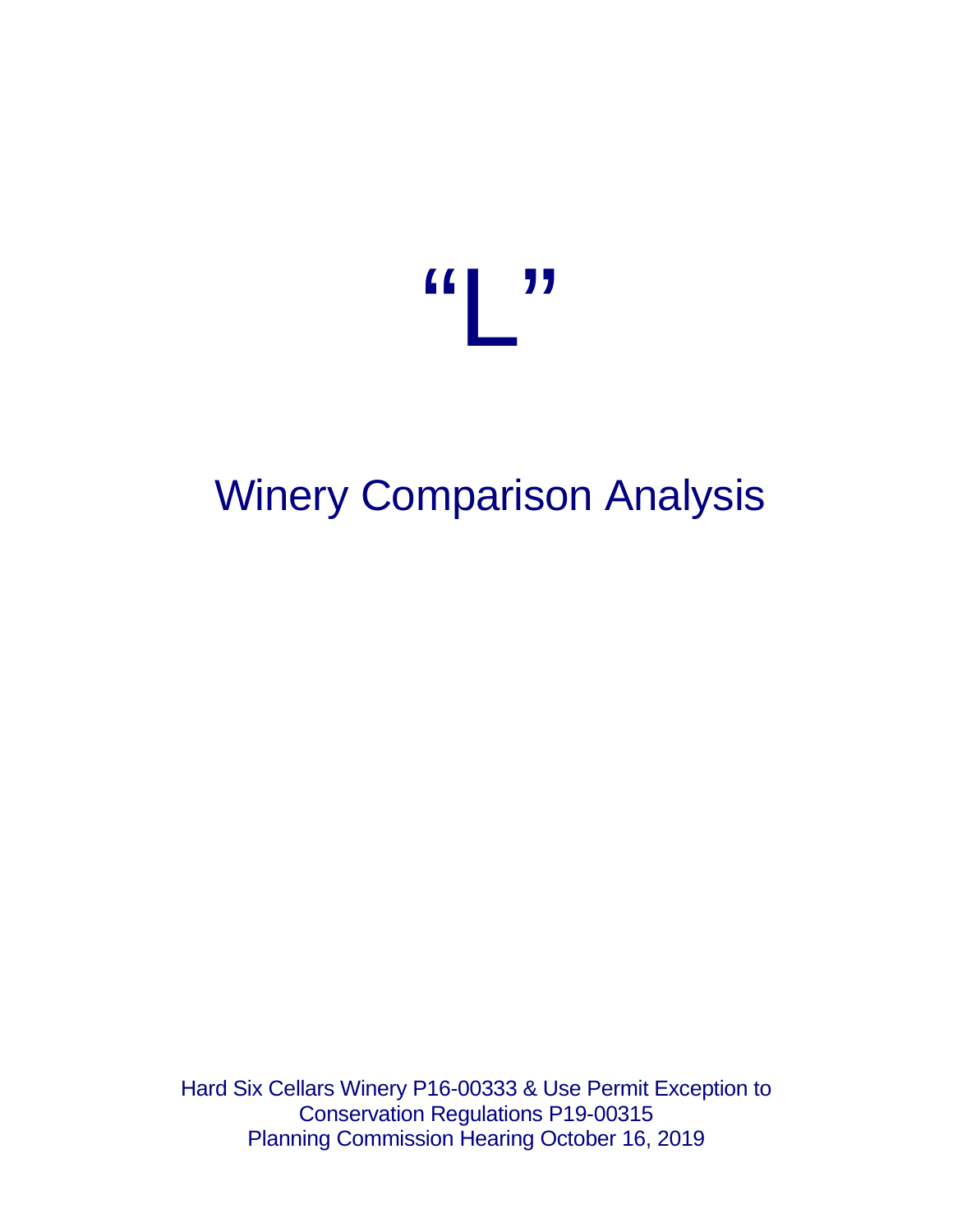

# Winery Comparison Analysis

Hard Six Cellars Winery P16-00333 & Use Permit Exception to Conservation Regulations P19-00315 Planning Commission Hearing October 16, 2019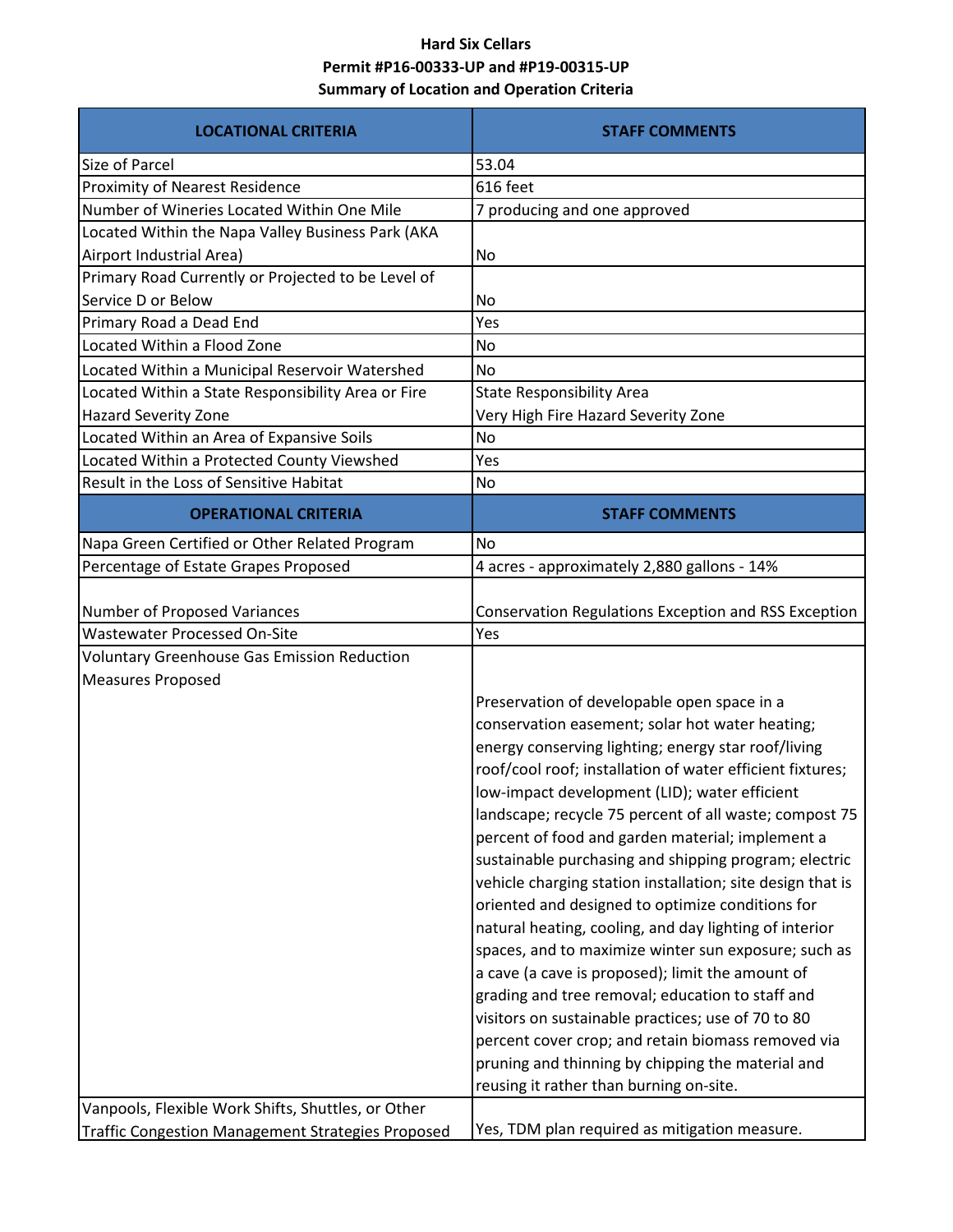# **Hard Six Cellars Permit #P16-00333-UP and #P19-00315-UP Summary of Location and Operation Criteria**

| <b>LOCATIONAL CRITERIA</b>                                                                                     | <b>STAFF COMMENTS</b>                                                                                                                                                                                                                                                                                                                                                                                                                                                                                                                                                                                                                                                                                                                                                                                                                                                                                                                                                                              |
|----------------------------------------------------------------------------------------------------------------|----------------------------------------------------------------------------------------------------------------------------------------------------------------------------------------------------------------------------------------------------------------------------------------------------------------------------------------------------------------------------------------------------------------------------------------------------------------------------------------------------------------------------------------------------------------------------------------------------------------------------------------------------------------------------------------------------------------------------------------------------------------------------------------------------------------------------------------------------------------------------------------------------------------------------------------------------------------------------------------------------|
| <b>Size of Parcel</b>                                                                                          | 53.04                                                                                                                                                                                                                                                                                                                                                                                                                                                                                                                                                                                                                                                                                                                                                                                                                                                                                                                                                                                              |
| <b>Proximity of Nearest Residence</b>                                                                          | 616 feet                                                                                                                                                                                                                                                                                                                                                                                                                                                                                                                                                                                                                                                                                                                                                                                                                                                                                                                                                                                           |
| Number of Wineries Located Within One Mile                                                                     | 7 producing and one approved                                                                                                                                                                                                                                                                                                                                                                                                                                                                                                                                                                                                                                                                                                                                                                                                                                                                                                                                                                       |
| Located Within the Napa Valley Business Park (AKA                                                              |                                                                                                                                                                                                                                                                                                                                                                                                                                                                                                                                                                                                                                                                                                                                                                                                                                                                                                                                                                                                    |
| Airport Industrial Area)                                                                                       | <b>No</b>                                                                                                                                                                                                                                                                                                                                                                                                                                                                                                                                                                                                                                                                                                                                                                                                                                                                                                                                                                                          |
| Primary Road Currently or Projected to be Level of                                                             |                                                                                                                                                                                                                                                                                                                                                                                                                                                                                                                                                                                                                                                                                                                                                                                                                                                                                                                                                                                                    |
| Service D or Below                                                                                             | <b>No</b>                                                                                                                                                                                                                                                                                                                                                                                                                                                                                                                                                                                                                                                                                                                                                                                                                                                                                                                                                                                          |
| Primary Road a Dead End                                                                                        | Yes                                                                                                                                                                                                                                                                                                                                                                                                                                                                                                                                                                                                                                                                                                                                                                                                                                                                                                                                                                                                |
| Located Within a Flood Zone                                                                                    | No                                                                                                                                                                                                                                                                                                                                                                                                                                                                                                                                                                                                                                                                                                                                                                                                                                                                                                                                                                                                 |
| Located Within a Municipal Reservoir Watershed                                                                 | <b>No</b>                                                                                                                                                                                                                                                                                                                                                                                                                                                                                                                                                                                                                                                                                                                                                                                                                                                                                                                                                                                          |
| Located Within a State Responsibility Area or Fire                                                             | <b>State Responsibility Area</b>                                                                                                                                                                                                                                                                                                                                                                                                                                                                                                                                                                                                                                                                                                                                                                                                                                                                                                                                                                   |
| Hazard Severity Zone                                                                                           | Very High Fire Hazard Severity Zone                                                                                                                                                                                                                                                                                                                                                                                                                                                                                                                                                                                                                                                                                                                                                                                                                                                                                                                                                                |
| Located Within an Area of Expansive Soils                                                                      | No                                                                                                                                                                                                                                                                                                                                                                                                                                                                                                                                                                                                                                                                                                                                                                                                                                                                                                                                                                                                 |
| Located Within a Protected County Viewshed                                                                     | Yes                                                                                                                                                                                                                                                                                                                                                                                                                                                                                                                                                                                                                                                                                                                                                                                                                                                                                                                                                                                                |
| Result in the Loss of Sensitive Habitat                                                                        | <b>No</b>                                                                                                                                                                                                                                                                                                                                                                                                                                                                                                                                                                                                                                                                                                                                                                                                                                                                                                                                                                                          |
| <b>OPERATIONAL CRITERIA</b>                                                                                    | <b>STAFF COMMENTS</b>                                                                                                                                                                                                                                                                                                                                                                                                                                                                                                                                                                                                                                                                                                                                                                                                                                                                                                                                                                              |
| Napa Green Certified or Other Related Program                                                                  | <b>No</b>                                                                                                                                                                                                                                                                                                                                                                                                                                                                                                                                                                                                                                                                                                                                                                                                                                                                                                                                                                                          |
| Percentage of Estate Grapes Proposed                                                                           | 4 acres - approximately 2,880 gallons - 14%                                                                                                                                                                                                                                                                                                                                                                                                                                                                                                                                                                                                                                                                                                                                                                                                                                                                                                                                                        |
| Number of Proposed Variances<br><b>Wastewater Processed On-Site</b>                                            | Conservation Regulations Exception and RSS Exception<br>Yes                                                                                                                                                                                                                                                                                                                                                                                                                                                                                                                                                                                                                                                                                                                                                                                                                                                                                                                                        |
| <b>Voluntary Greenhouse Gas Emission Reduction</b>                                                             |                                                                                                                                                                                                                                                                                                                                                                                                                                                                                                                                                                                                                                                                                                                                                                                                                                                                                                                                                                                                    |
| <b>Measures Proposed</b>                                                                                       |                                                                                                                                                                                                                                                                                                                                                                                                                                                                                                                                                                                                                                                                                                                                                                                                                                                                                                                                                                                                    |
|                                                                                                                | Preservation of developable open space in a<br>conservation easement; solar hot water heating;<br>energy conserving lighting; energy star roof/living<br>roof/cool roof; installation of water efficient fixtures;<br>low-impact development (LID); water efficient<br>landscape; recycle 75 percent of all waste; compost 75<br>percent of food and garden material; implement a<br>sustainable purchasing and shipping program; electric<br>vehicle charging station installation; site design that is<br>oriented and designed to optimize conditions for<br>natural heating, cooling, and day lighting of interior<br>spaces, and to maximize winter sun exposure; such as<br>a cave (a cave is proposed); limit the amount of<br>grading and tree removal; education to staff and<br>visitors on sustainable practices; use of 70 to 80<br>percent cover crop; and retain biomass removed via<br>pruning and thinning by chipping the material and<br>reusing it rather than burning on-site. |
| Vanpools, Flexible Work Shifts, Shuttles, or Other<br><b>Traffic Congestion Management Strategies Proposed</b> | Yes, TDM plan required as mitigation measure.                                                                                                                                                                                                                                                                                                                                                                                                                                                                                                                                                                                                                                                                                                                                                                                                                                                                                                                                                      |
|                                                                                                                |                                                                                                                                                                                                                                                                                                                                                                                                                                                                                                                                                                                                                                                                                                                                                                                                                                                                                                                                                                                                    |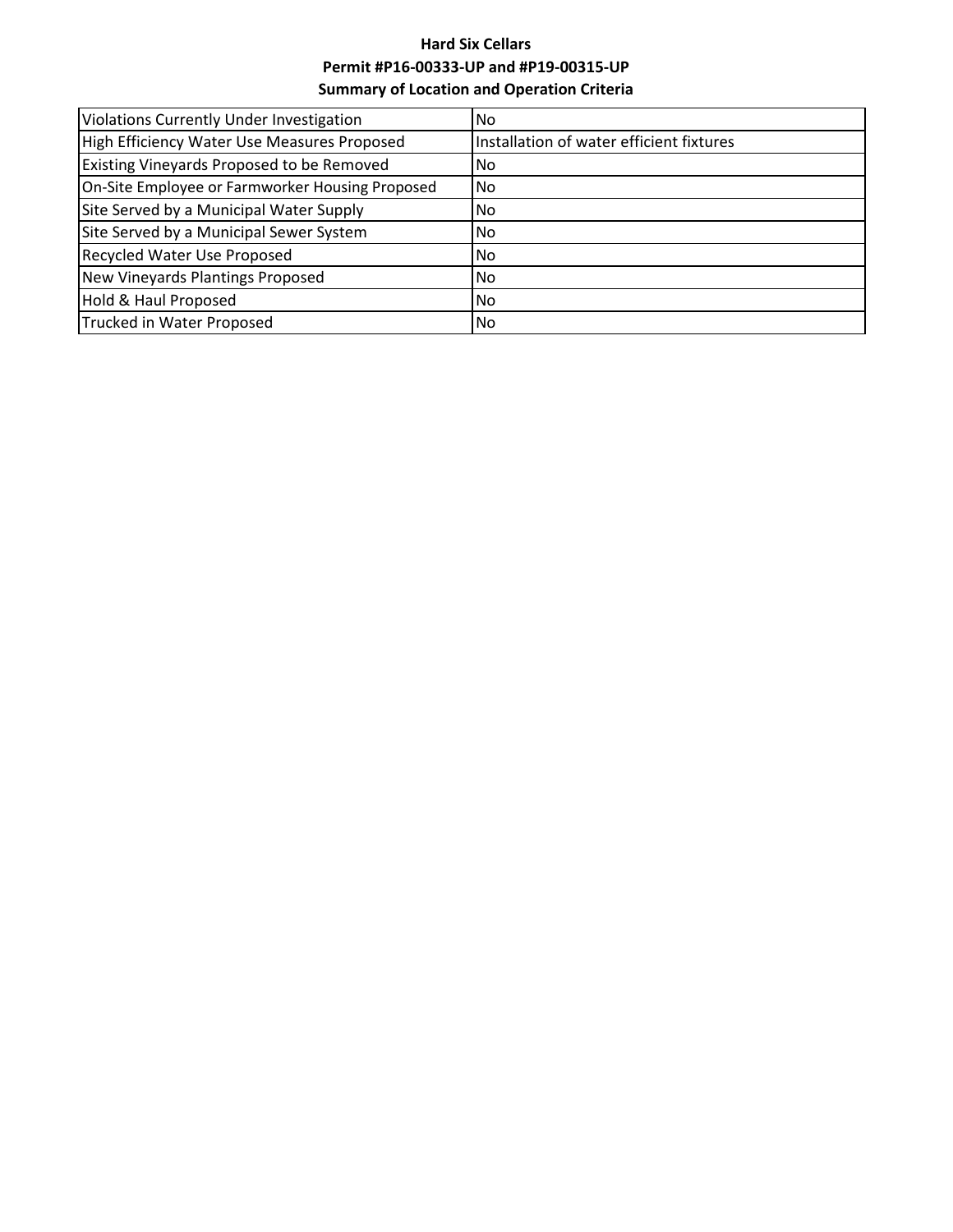# **Hard Six Cellars Permit #P16-00333-UP and #P19-00315-UP Summary of Location and Operation Criteria**

| Violations Currently Under Investigation        | No.                                      |
|-------------------------------------------------|------------------------------------------|
| High Efficiency Water Use Measures Proposed     | Installation of water efficient fixtures |
| Existing Vineyards Proposed to be Removed       | No.                                      |
| On-Site Employee or Farmworker Housing Proposed | INo.                                     |
| Site Served by a Municipal Water Supply         | No.                                      |
| Site Served by a Municipal Sewer System         | No.                                      |
| Recycled Water Use Proposed                     | No.                                      |
| New Vineyards Plantings Proposed                | No.                                      |
| Hold & Haul Proposed                            | No.                                      |
| Trucked in Water Proposed                       | <b>No</b>                                |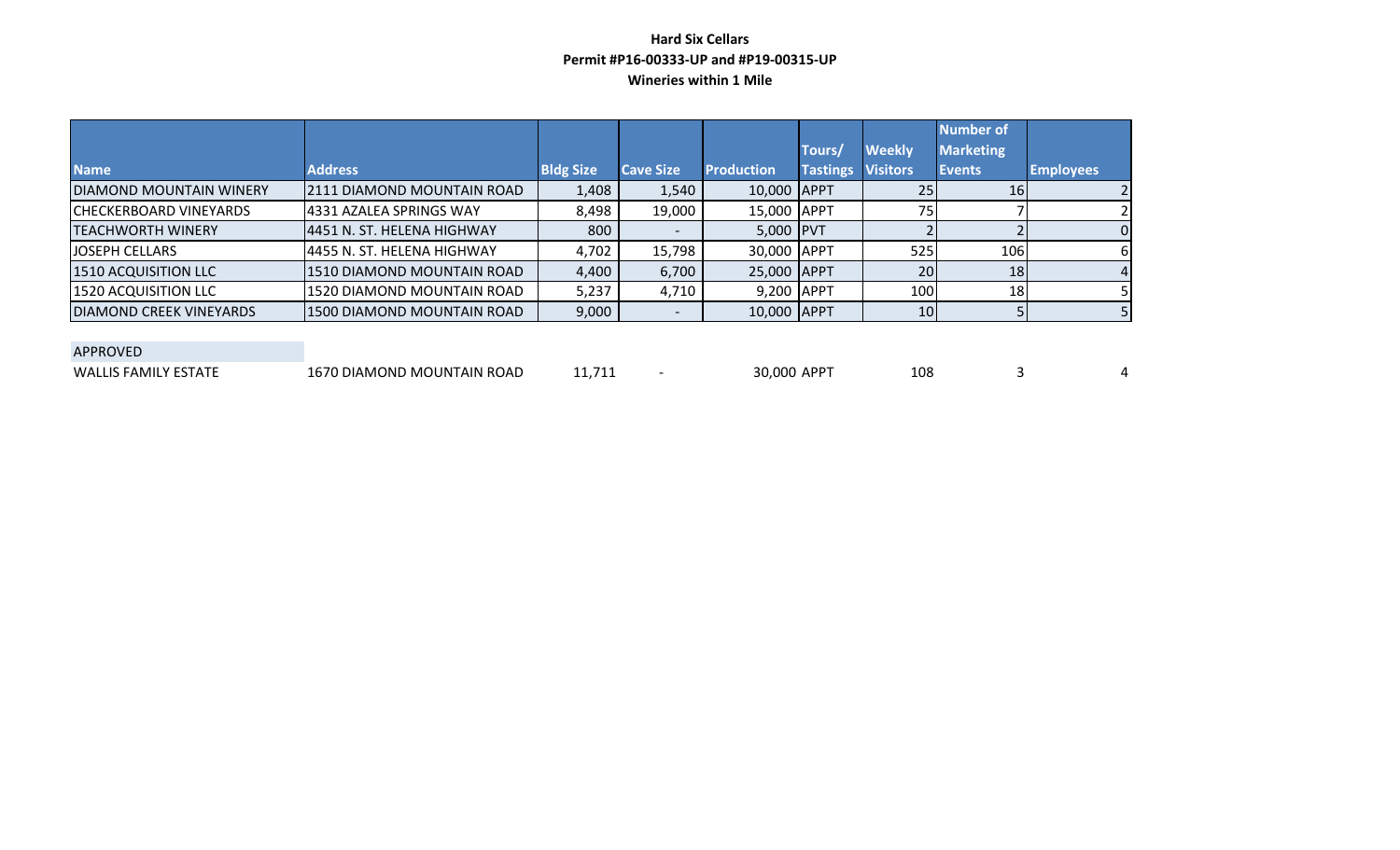## **Hard Six Cellars Permit #P16-00333-UP and #P19-00315-UP Wineries within 1 Mile**

|                                 |                             |                  |                  |                   |                 |                 | <b>Number of</b> |                  |
|---------------------------------|-----------------------------|------------------|------------------|-------------------|-----------------|-----------------|------------------|------------------|
|                                 |                             |                  |                  |                   | Tours,          | <b>Weekly</b>   | <b>Marketing</b> |                  |
| <b>Name</b>                     | <b>Address</b>              | <b>Bldg Size</b> | <b>Cave Size</b> | <b>Production</b> | <b>Tastings</b> | <b>Visitors</b> | <b>Events</b>    | <b>Employees</b> |
| <b>IDIAMOND MOUNTAIN WINERY</b> | 12111 DIAMOND MOUNTAIN ROAD | 1,408            | 1,540            | 10,000 APPT       |                 | 25              | 16               |                  |
| <b>CHECKERBOARD VINEYARDS</b>   | 4331 AZALEA SPRINGS WAY     | 8,498            | 19,000           | 15,000 APPT       |                 | 75 <sub>1</sub> |                  |                  |
| <b>TEACHWORTH WINERY</b>        | 4451 N. ST. HELENA HIGHWAY  | 800              |                  | 5,000 PVT         |                 |                 |                  |                  |
| <b>JOSEPH CELLARS</b>           | 4455 N. ST. HELENA HIGHWAY  | 4,702            | 15,798           | 30,000 APPT       |                 | 525             | 106              | h                |
| 1510 ACQUISITION LLC            | 1510 DIAMOND MOUNTAIN ROAD  | 4,400            | 6,700            | 25,000 APPT       |                 | 20              | 18               |                  |
| 1520 ACQUISITION LLC            | 1520 DIAMOND MOUNTAIN ROAD  | 5,237            | 4,710            | 9,200 APPT        |                 | 100             | 18               |                  |
| <b>DIAMOND CREEK VINEYARDS</b>  | 1500 DIAMOND MOUNTAIN ROAD  | 9,000            |                  | 10,000 APPT       |                 | 10              |                  |                  |

| APPROVED |
|----------|
|----------|

| WALLIS L.<br>FAMILV<br>:51A11 | I DIAMOND MOUNTAIN ROAD | $\sim$ | ADD <sup>-</sup><br>30.00C<br>σT | 108 | $\overline{\phantom{a}}$ |
|-------------------------------|-------------------------|--------|----------------------------------|-----|--------------------------|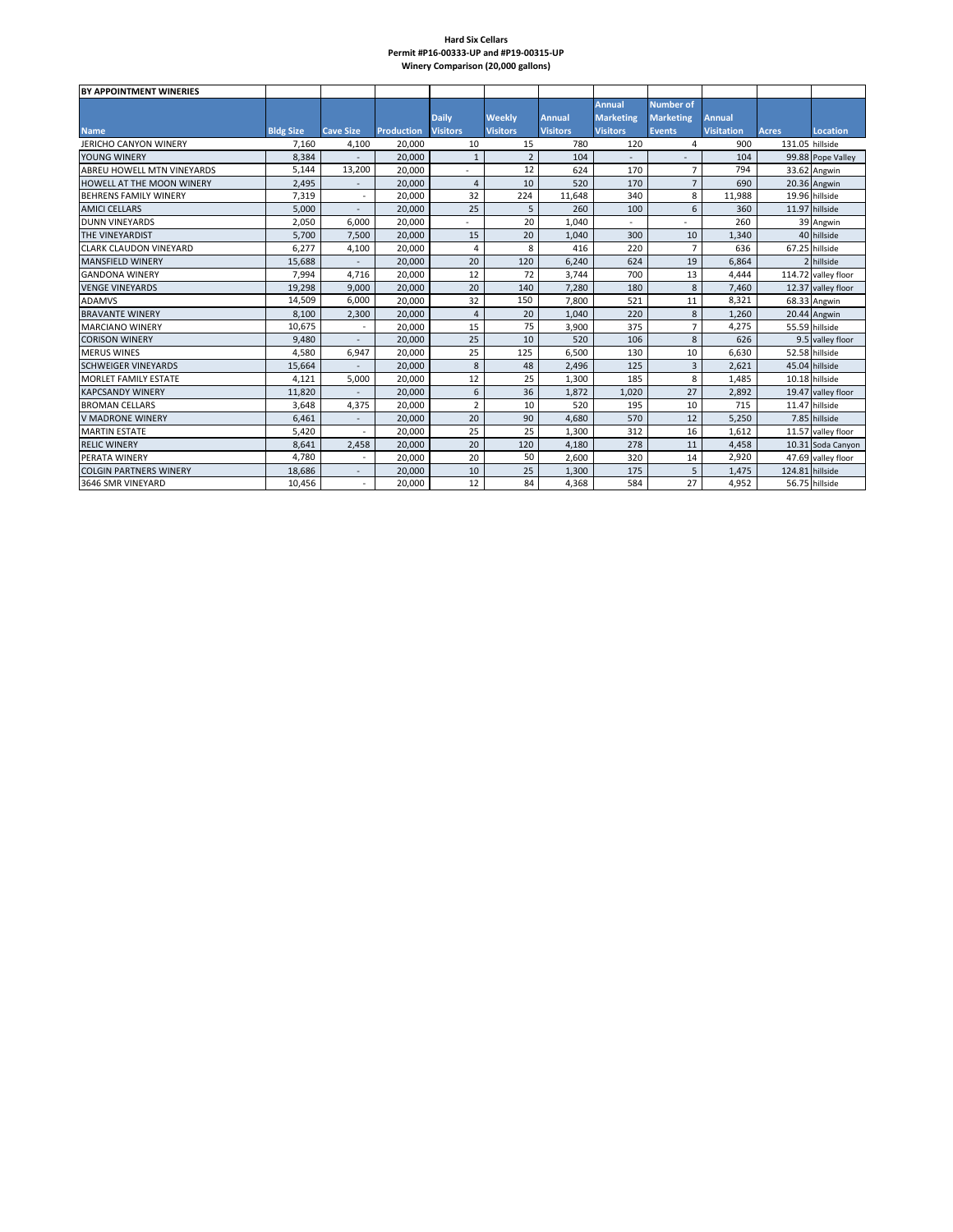#### **Hard Six Cellars Permit #P16-00333-UP and #P19-00315-UP Winery Comparison (20,000 gallons)**

| BY APPOINTMENT WINERIES           |                  |                          |                   |                 |                 |                 |                  |                  |                   |                 |                     |
|-----------------------------------|------------------|--------------------------|-------------------|-----------------|-----------------|-----------------|------------------|------------------|-------------------|-----------------|---------------------|
|                                   |                  |                          |                   |                 |                 |                 | <b>Annual</b>    | <b>Number of</b> |                   |                 |                     |
|                                   |                  |                          |                   | <b>Daily</b>    | <b>Weekly</b>   | <b>Annual</b>   | <b>Marketing</b> | <b>Marketing</b> | <b>Annual</b>     |                 |                     |
| <b>Name</b>                       | <b>Bldg Size</b> | <b>Cave Size</b>         | <b>Production</b> | <b>Visitors</b> | <b>Visitors</b> | <b>Visitors</b> | <b>Visitors</b>  | <b>Events</b>    | <b>Visitation</b> | <b>Acres</b>    | <b>Location</b>     |
| <b>JERICHO CANYON WINERY</b>      | 7,160            | 4,100                    | 20,000            | 10              | 15              | 780             | 120              | 4                | 900               | 131.05 hillside |                     |
| YOUNG WINERY                      | 8,384            |                          | 20,000            | $\mathbf{1}$    | $\overline{2}$  | 104             |                  |                  | 104               |                 | 99.88 Pope Valley   |
| <b>ABREU HOWELL MTN VINEYARDS</b> | 5.144            | 13,200                   | 20.000            |                 | 12              | 624             | 170              | $\overline{7}$   | 794               |                 | 33.62 Angwin        |
| HOWFLL AT THE MOON WINERY         | 2,495            | $\overline{\phantom{a}}$ | 20,000            | $\overline{4}$  | 10              | 520             | 170              | $\overline{7}$   | 690               |                 | 20.36 Angwin        |
| <b>BEHRENS FAMILY WINERY</b>      | 7,319            |                          | 20.000            | 32              | 224             | 11,648          | 340              | 8                | 11.988            |                 | 19.96 hillside      |
| <b>AMICI CELLARS</b>              | 5,000            |                          | 20,000            | 25              | 5               | 260             | 100              | 6                | 360               |                 | 11.97 hillside      |
| <b>DUNN VINEYARDS</b>             | 2,050            | 6,000                    | 20,000            |                 | 20              | 1,040           |                  |                  | 260               |                 | 39 Angwin           |
| THE VINEYARDIST                   | 5,700            | 7,500                    | 20,000            | 15              | 20              | 1,040           | 300              | 10               | 1,340             |                 | 40 hillside         |
| <b>CLARK CLAUDON VINEYARD</b>     | 6,277            | 4,100                    | 20,000            | $\overline{4}$  | 8               | 416             | 220              | $\overline{7}$   | 636               |                 | 67.25 hillside      |
| <b>MANSFIELD WINERY</b>           | 15,688           |                          | 20,000            | 20              | 120             | 6.240           | 624              | 19               | 6.864             |                 | 2 hillside          |
| <b>GANDONA WINERY</b>             | 7,994            | 4,716                    | 20,000            | 12              | 72              | 3,744           | 700              | 13               | 4,444             |                 | 114.72 valley floor |
| <b>VENGE VINEYARDS</b>            | 19,298           | 9,000                    | 20,000            | 20              | 140             | 7.280           | 180              | 8                | 7,460             |                 | 12.37 valley floor  |
| <b>ADAMVS</b>                     | 14,509           | 6,000                    | 20,000            | 32              | 150             | 7,800           | 521              | 11               | 8,321             |                 | 68.33 Angwin        |
| <b>BRAVANTE WINERY</b>            | 8,100            | 2,300                    | 20,000            | $\overline{4}$  | 20              | 1,040           | 220              | 8                | 1,260             |                 | 20.44 Angwin        |
| <b>MARCIANO WINERY</b>            | 10,675           |                          | 20.000            | 15              | 75              | 3,900           | 375              | $\overline{7}$   | 4,275             |                 | 55.59 hillside      |
| <b>CORISON WINERY</b>             | 9,480            |                          | 20,000            | 25              | 10              | 520             | 106              | 8                | 626               |                 | 9.5 valley floor    |
| <b>MERUS WINES</b>                | 4.580            | 6,947                    | 20.000            | 25              | 125             | 6.500           | 130              | 10               | 6,630             |                 | 52.58 hillside      |
| <b>SCHWEIGER VINEYARDS</b>        | 15,664           |                          | 20,000            | 8               | 48              | 2,496           | 125              | 3                | 2,621             |                 | 45.04 hillside      |
| <b>MORLET FAMILY ESTATE</b>       | 4,121            | 5,000                    | 20,000            | 12              | 25              | 1,300           | 185              | 8                | 1,485             |                 | 10.18 hillside      |
| <b>KAPCSANDY WINERY</b>           | 11.820           |                          | 20,000            | 6               | 36              | 1.872           | 1.020            | 27               | 2.892             |                 | 19.47 valley floor  |
| <b>BROMAN CELLARS</b>             | 3.648            | 4,375                    | 20.000            | $\overline{2}$  | 10              | 520             | 195              | 10               | 715               |                 | 11.47 hillside      |
| <b>V MADRONE WINERY</b>           | 6,461            | $\overline{\phantom{a}}$ | 20.000            | 20              | 90              | 4.680           | 570              | 12               | 5,250             |                 | 7.85 hillside       |
| <b>MARTIN ESTATE</b>              | 5,420            |                          | 20,000            | 25              | 25              | 1,300           | 312              | 16               | 1,612             |                 | 11.57 valley floor  |
| <b>RELIC WINERY</b>               | 8,641            | 2,458                    | 20,000            | 20              | 120             | 4,180           | 278              | 11               | 4,458             |                 | 10.31 Soda Canyon   |
| PERATA WINERY                     | 4,780            |                          | 20.000            | 20              | 50              | 2,600           | 320              | 14               | 2,920             |                 | 47.69 valley floor  |
| <b>COLGIN PARTNERS WINERY</b>     | 18,686           |                          | 20,000            | 10              | 25              | 1,300           | 175              | 5                | 1,475             | 124.81 hillside |                     |
| 3646 SMR VINEYARD                 | 10.456           |                          | 20.000            | 12              | 84              | 4.368           | 584              | 27               | 4.952             |                 | 56.75 hillside      |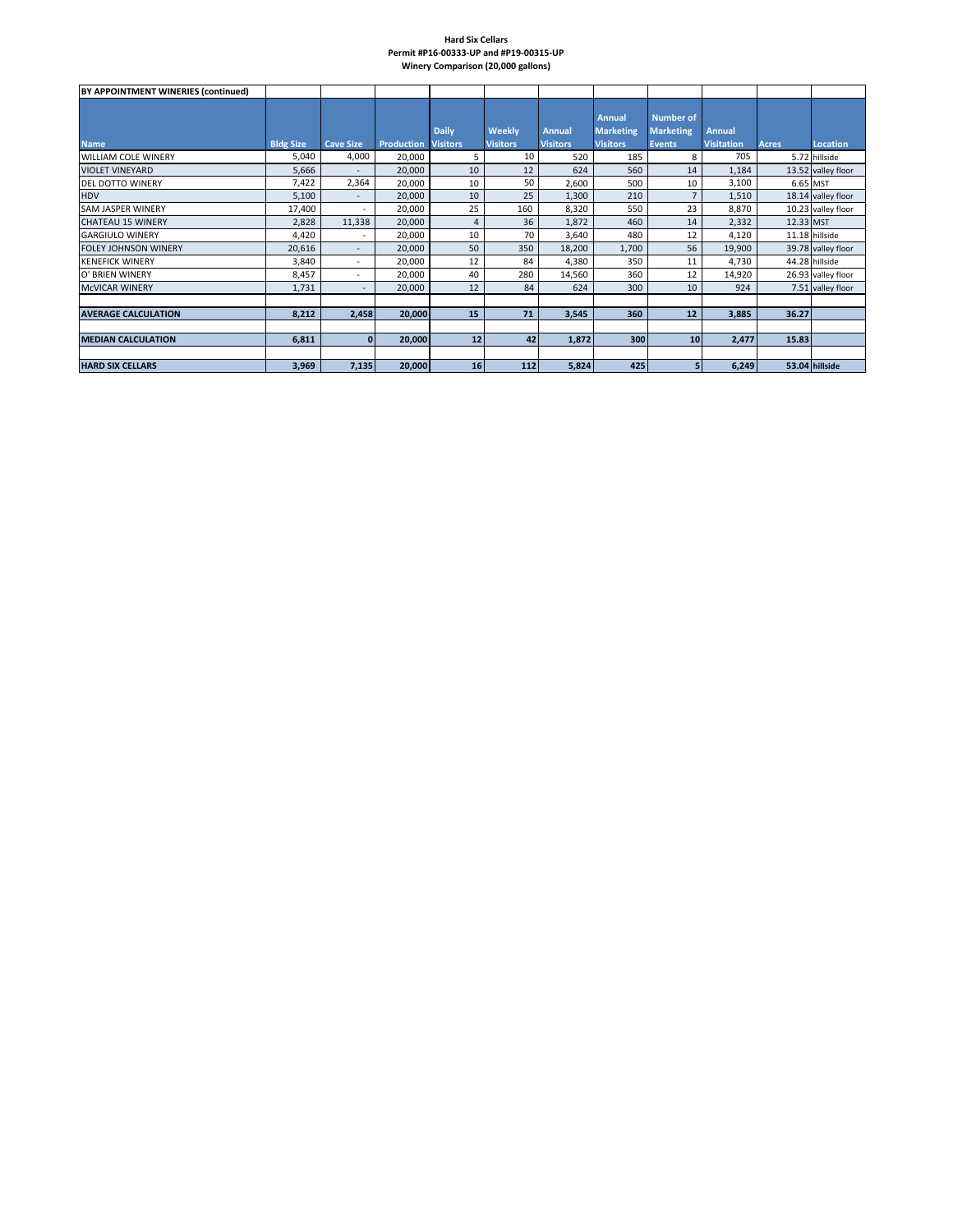#### **Hard Six Cellars Permit #P16-00333-UP and #P19-00315-UP Winery Comparison (20,000 gallons)**

| BY APPOINTMENT WINERIES (continued) |                  |                          |                   |                                 |                           |                                  |                                               |                                                       |                                    |           |                    |
|-------------------------------------|------------------|--------------------------|-------------------|---------------------------------|---------------------------|----------------------------------|-----------------------------------------------|-------------------------------------------------------|------------------------------------|-----------|--------------------|
| <b>Name</b>                         | <b>Bldg Size</b> | <b>Cave Size</b>         | <b>Production</b> | <b>Daily</b><br><b>Visitors</b> | Weekly<br><b>Visitors</b> | <b>Annual</b><br><b>Visitors</b> | Annual<br><b>Marketing</b><br><b>Visitors</b> | <b>Number of</b><br><b>Marketing</b><br><b>Events</b> | <b>Annual</b><br><b>Visitation</b> | Acres     | <b>Location</b>    |
| <b>WILLIAM COLE WINERY</b>          | 5,040            | 4,000                    | 20,000            | 5                               | 10                        | 520                              | 185                                           | 8                                                     | 705                                |           | 5.72 hillside      |
| <b>VIOLET VINEYARD</b>              | 5,666            | $\overline{\phantom{a}}$ | 20,000            | 10                              | 12                        | 624                              | 560                                           | 14                                                    | 1,184                              |           | 13.52 valley floor |
| <b>DEL DOTTO WINERY</b>             | 7,422            | 2,364                    | 20,000            | 10                              | 50                        | 2,600                            | 500                                           | 10                                                    | 3,100                              | 6.65 MST  |                    |
| <b>HDV</b>                          | 5,100            | $\overline{\phantom{a}}$ | 20,000            | 10                              | 25                        | 1,300                            | 210                                           | $\overline{7}$                                        | 1,510                              |           | 18.14 valley floor |
| <b>SAM JASPER WINERY</b>            | 17,400           | $\sim$                   | 20,000            | 25                              | 160                       | 8,320                            | 550                                           | 23                                                    | 8,870                              |           | 10.23 valley floor |
| <b>CHATEAU 15 WINERY</b>            | 2,828            | 11,338                   | 20,000            | 4                               | 36                        | 1,872                            | 460                                           | 14                                                    | 2,332                              | 12.33 MST |                    |
| <b>GARGIULO WINERY</b>              | 4,420            | ٠                        | 20,000            | 10                              | 70                        | 3,640                            | 480                                           | 12                                                    | 4,120                              |           | 11.18 hillside     |
| <b>FOLEY JOHNSON WINERY</b>         | 20,616           | $\sim$                   | 20,000            | 50                              | 350                       | 18,200                           | 1,700                                         | 56                                                    | 19,900                             |           | 39.78 valley floor |
| <b>KENEFICK WINERY</b>              | 3,840            | $\overline{\phantom{a}}$ | 20,000            | 12                              | 84                        | 4,380                            | 350                                           | 11                                                    | 4,730                              |           | 44.28 hillside     |
| O' BRIEN WINERY                     | 8,457            | $\overline{\phantom{a}}$ | 20,000            | 40                              | 280                       | 14,560                           | 360                                           | 12                                                    | 14,920                             |           | 26.93 valley floor |
| <b>MCVICAR WINERY</b>               | 1,731            | $\overline{\phantom{a}}$ | 20,000            | 12                              | 84                        | 624                              | 300                                           | 10                                                    | 924                                |           | 7.51 valley floor  |
|                                     |                  |                          |                   |                                 |                           |                                  |                                               |                                                       |                                    |           |                    |
| <b>AVERAGE CALCULATION</b>          | 8,212            | 2,458                    | 20,000            | 15                              | 71                        | 3,545                            | 360                                           | 12                                                    | 3,885                              | 36.27     |                    |
| <b>MEDIAN CALCULATION</b>           | 6,811            | $\mathbf{0}$             | 20,000            | 12                              | 42                        | 1,872                            | 300                                           | 10                                                    | 2,477                              | 15.83     |                    |
| <b>HARD SIX CELLARS</b>             | 3,969            | 7,135                    | 20,000            | 16                              | 112                       | 5,824                            | 425                                           | 5                                                     | 6,249                              |           | 53.04 hillside     |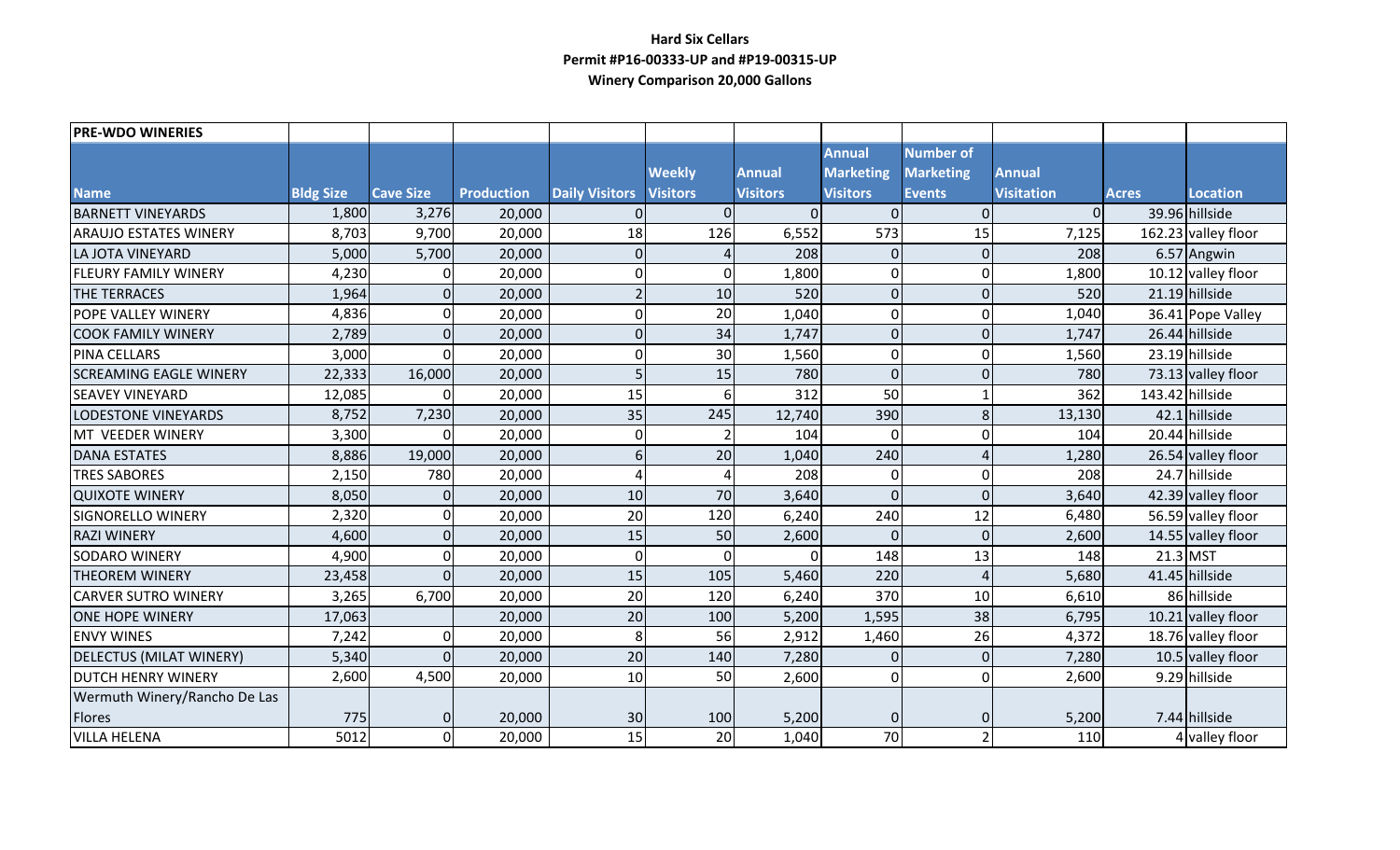## **Hard Six Cellars Permit #P16-00333-UP and #P19-00315-UP Winery Comparison 20,000 Gallons**

| <b>PRE-WDO WINERIES</b>        |                  |                  |                   |                       |                 |                 |                  |                  |                   |                 |                      |
|--------------------------------|------------------|------------------|-------------------|-----------------------|-----------------|-----------------|------------------|------------------|-------------------|-----------------|----------------------|
|                                |                  |                  |                   |                       |                 |                 | <b>Annual</b>    | <b>Number of</b> |                   |                 |                      |
|                                |                  |                  |                   |                       | <b>Weekly</b>   | <b>Annual</b>   | <b>Marketing</b> | <b>Marketing</b> | <b>Annual</b>     |                 |                      |
| <b>Name</b>                    | <b>Bldg Size</b> | <b>Cave Size</b> | <b>Production</b> | <b>Daily Visitors</b> | <b>Visitors</b> | <b>Visitors</b> | <b>Visitors</b>  | <b>Events</b>    | <b>Visitation</b> | <b>Acres</b>    | <b>Location</b>      |
| <b>BARNETT VINEYARDS</b>       | 1,800            | 3,276            | 20,000            |                       | $\overline{0}$  | $\Omega$        | $\Omega$         | $\mathbf{0}$     | $\Omega$          |                 | 39.96 hillside       |
| <b>ARAUJO ESTATES WINERY</b>   | 8,703            | 9,700            | 20,000            | 18                    | 126             | 6,552           | 573              | 15               | 7,125             |                 | 162.23 valley floor  |
| <b>LA JOTA VINEYARD</b>        | 5,000            | 5,700            | 20,000            | $\Omega$              |                 | 208             | $\overline{0}$   | $\overline{0}$   | 208               |                 | 6.57 Angwin          |
| <b>FLEURY FAMILY WINERY</b>    | 4,230            | U                | 20,000            | $\Omega$              | $\mathbf 0$     | 1,800           | $\mathbf 0$      | $\mathbf 0$      | 1,800             |                 | 10.12 valley floor   |
| <b>THE TERRACES</b>            | 1,964            | $\Omega$         | 20,000            |                       | 10              | 520             | $\overline{0}$   | $\mathbf{0}$     | 520               |                 | 21.19 hillside       |
| POPE VALLEY WINERY             | 4,836            | 0                | 20,000            | $\Omega$              | 20              | 1,040           | $\overline{0}$   | $\mathbf 0$      | 1,040             |                 | 36.41 Pope Valley    |
| <b>COOK FAMILY WINERY</b>      | 2,789            | $\Omega$         | 20,000            | $\Omega$              | 34              | 1,747           | $\overline{0}$   | $\mathbf{0}$     | 1,747             |                 | 26.44 hillside       |
| PINA CELLARS                   | 3,000            | 0                | 20,000            | $\Omega$              | 30              | 1,560           | $\mathbf 0$      | $\mathbf 0$      | 1,560             |                 | 23.19 hillside       |
| <b>SCREAMING EAGLE WINERY</b>  | 22,333           | 16,000           | 20,000            |                       | 15              | 780             | $\mathbf 0$      | $\mathbf{0}$     | 780               |                 | 73.13 valley floor   |
| <b>SEAVEY VINEYARD</b>         | 12,085           | $\Omega$         | 20,000            | 15                    | 6               | 312             | 50               |                  | 362               | 143.42 hillside |                      |
| <b>LODESTONE VINEYARDS</b>     | 8,752            | 7,230            | 20,000            | 35                    | 245             | 12,740          | 390              | 8                | 13,130            |                 | 42.1 hillside        |
| MT VEEDER WINERY               | 3,300            | U                | 20,000            | $\Omega$              |                 | 104             | $\Omega$         | $\mathbf 0$      | 104               |                 | 20.44 hillside       |
| <b>DANA ESTATES</b>            | 8,886            | 19,000           | 20,000            | $6 \overline{6}$      | 20              | 1,040           | 240              | $\overline{4}$   | 1,280             |                 | 26.54 valley floor   |
| <b>TRES SABORES</b>            | 2,150            | 780              | 20,000            |                       | $\Delta$        | 208             | 0                | $\mathbf 0$      | 208               |                 | 24.7 hillside        |
| <b>QUIXOTE WINERY</b>          | 8,050            | $\overline{0}$   | 20,000            | 10                    | 70              | 3,640           | $\overline{0}$   | $\Omega$         | 3,640             |                 | 42.39 valley floor   |
| <b>SIGNORELLO WINERY</b>       | 2,320            | 0                | 20,000            | 20                    | 120             | 6,240           | 240              | 12               | 6,480             |                 | 56.59 valley floor   |
| <b>RAZI WINERY</b>             | 4,600            | $\Omega$         | 20,000            | 15                    | 50              | 2,600           | $\Omega$         | $\overline{0}$   | 2,600             |                 | 14.55 valley floor   |
| <b>SODARO WINERY</b>           | 4,900            | 0                | 20,000            | $\mathbf{0}$          | $\Omega$        | $\Omega$        | 148              | 13               | 148               | $21.3$ MST      |                      |
| <b>THEOREM WINERY</b>          | 23,458           | $\Omega$         | 20,000            | 15                    | 105             | 5,460           | 220              | $\overline{4}$   | 5,680             |                 | 41.45 hillside       |
| <b>CARVER SUTRO WINERY</b>     | 3,265            | 6,700            | 20,000            | 20                    | 120             | 6,240           | 370              | 10               | 6,610             |                 | 86 hillside          |
| <b>ONE HOPE WINERY</b>         | 17,063           |                  | 20,000            | 20                    | 100             | 5,200           | 1,595            | 38               | 6,795             |                 | $10.21$ valley floor |
| <b>ENVY WINES</b>              | 7,242            | $\Omega$         | 20,000            | 8                     | 56              | 2,912           | 1,460            | 26               | 4,372             |                 | 18.76 valley floor   |
| <b>DELECTUS (MILAT WINERY)</b> | 5,340            | $\Omega$         | 20,000            | 20                    | 140             | 7,280           | $\overline{0}$   | $\mathbf 0$      | 7,280             |                 | 10.5 valley floor    |
| <b>DUTCH HENRY WINERY</b>      | 2,600            | 4,500            | 20,000            | 10                    | 50              | 2,600           | 0                | $\mathbf 0$      | 2,600             |                 | 9.29 hillside        |
| Wermuth Winery/Rancho De Las   |                  |                  |                   |                       |                 |                 |                  |                  |                   |                 |                      |
| <b>Flores</b>                  | 775              | 0                | 20,000            | 30 <sup>°</sup>       | 100             | 5,200           | $\mathbf{0}$     | $\Omega$         | 5,200             |                 | 7.44 hillside        |
| <b>VILLA HELENA</b>            | 5012             | 0                | 20,000            | 15                    | 20              | 1,040           | 70               | $\overline{2}$   | 110               |                 | 4 valley floor       |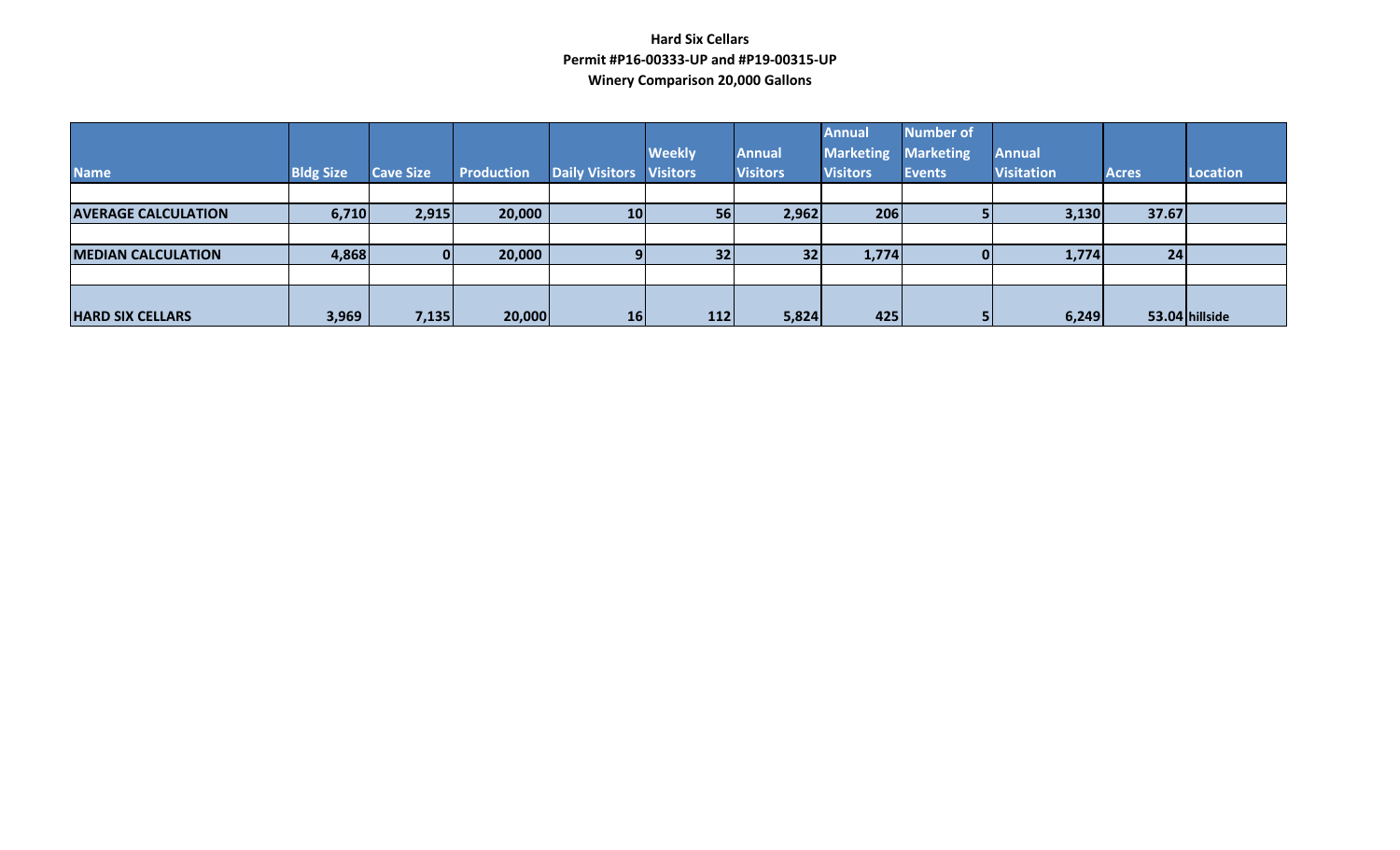## **Hard Six Cellars Permit #P16-00333-UP and #P19-00315-UP Winery Comparison 20,000 Gallons**

| <b>Name</b>                | <b>Bldg Size</b> | <b>Cave Size</b> | <b>Production</b> | <b>Daily Visitors Visitors</b> | <b>Weekly</b> | <b>Annual</b><br><b>Visitors</b> | <b>Annual</b><br><b>Marketing</b><br><b>Visitors</b> | <b>Number of</b><br><b>Marketing</b><br>Events | <b>Annual</b><br><b>Visitation</b> | <b>Acres</b> | <b>Location</b> |
|----------------------------|------------------|------------------|-------------------|--------------------------------|---------------|----------------------------------|------------------------------------------------------|------------------------------------------------|------------------------------------|--------------|-----------------|
|                            |                  |                  |                   |                                |               |                                  |                                                      |                                                |                                    |              |                 |
| <b>AVERAGE CALCULATION</b> | 6,710            | 2,915            | 20,000            | 10 <sup>1</sup>                | 56            | 2,962                            | 206                                                  |                                                | 3,130                              | 37.67        |                 |
|                            |                  |                  |                   |                                |               |                                  |                                                      |                                                |                                    |              |                 |
| <b>MEDIAN CALCULATION</b>  | 4,868            |                  | 20,000            |                                | 32            | 32                               | 1,774                                                |                                                | 1,774                              | 24           |                 |
|                            |                  |                  |                   |                                |               |                                  |                                                      |                                                |                                    |              |                 |
|                            |                  |                  |                   |                                |               |                                  |                                                      |                                                |                                    |              |                 |
| <b>HARD SIX CELLARS</b>    | 3,969            | 7,135            | 20,000            | 16                             | $112$         | 5,824                            | 425                                                  |                                                | 6,249                              |              | 53.04 hillside  |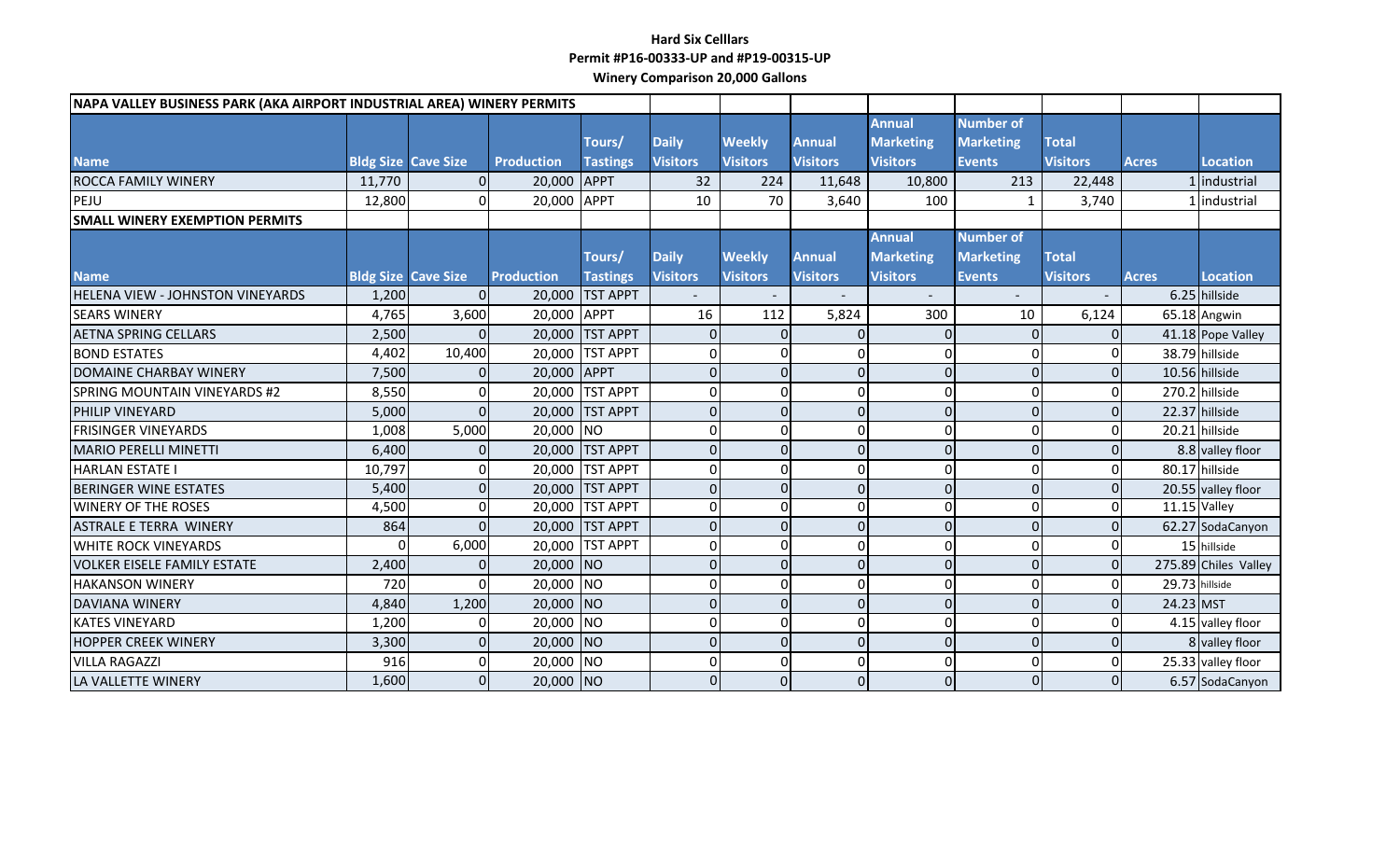## **Hard Six Celllars Permit #P16-00333-UP and #P19-00315-UP Winery Comparison 20,000 Gallons**

| NAPA VALLEY BUSINESS PARK (AKA AIRPORT INDUSTRIAL AREA) WINERY PERMITS |        |                            |                   |                 |                 |                  |                 |                          |                          |                 |                |                      |
|------------------------------------------------------------------------|--------|----------------------------|-------------------|-----------------|-----------------|------------------|-----------------|--------------------------|--------------------------|-----------------|----------------|----------------------|
|                                                                        |        |                            |                   |                 |                 |                  |                 | <b>Annual</b>            | <b>Number of</b>         |                 |                |                      |
|                                                                        |        |                            |                   | Tours/          | <b>Daily</b>    | <b>Weekly</b>    | <b>Annual</b>   | <b>Marketing</b>         | <b>Marketing</b>         | <b>Total</b>    |                |                      |
| <b>Name</b>                                                            |        | <b>Bldg Size Cave Size</b> | <b>Production</b> | <b>Tastings</b> | <b>Visitors</b> | <b>Visitors</b>  | <b>Visitors</b> | <b>Visitors</b>          | <b>Events</b>            | <b>Visitors</b> | <b>Acres</b>   | Location             |
| <b>ROCCA FAMILY WINERY</b>                                             | 11,770 |                            | 20,000 APPT       |                 | 32              | 224              | 11,648          | 10,800                   | 213                      | 22,448          |                | industrial           |
| PEJU                                                                   | 12,800 | O                          | 20,000 APPT       |                 | 10              | 70               | 3,640           | 100                      | $\mathbf{1}$             | 3,740           |                | Industrial           |
| <b>SMALL WINERY EXEMPTION PERMITS</b>                                  |        |                            |                   |                 |                 |                  |                 |                          |                          |                 |                |                      |
|                                                                        |        |                            |                   |                 |                 |                  |                 | <b>Annual</b>            | <b>Number of</b>         |                 |                |                      |
|                                                                        |        |                            |                   | Tours/          | <b>Daily</b>    | <b>Weekly</b>    | <b>Annual</b>   | <b>Marketing</b>         | <b>Marketing</b>         | <b>Total</b>    |                |                      |
| <b>Name</b>                                                            |        | <b>Bldg Size Cave Size</b> | <b>Production</b> | <b>Tastings</b> | <b>Visitors</b> | <b>Visitors</b>  | <b>Visitors</b> | <b>Visitors</b>          | <b>Events</b>            | <b>Visitors</b> | <b>Acres</b>   | <b>Location</b>      |
| <b>HELENA VIEW - JOHNSTON VINEYARDS</b>                                | 1,200  |                            |                   | 20,000 TST APPT |                 |                  |                 | $\overline{\phantom{a}}$ | $\overline{\phantom{a}}$ |                 |                | 6.25 hillside        |
| <b>SEARS WINERY</b>                                                    | 4,765  | 3,600                      | 20,000 APPT       |                 | 16              | 112              | 5,824           | 300                      | 10                       | 6,124           |                | 65.18 Angwin         |
| <b>AETNA SPRING CELLARS</b>                                            | 2,500  |                            |                   | 20,000 TST APPT |                 | $\Omega$         |                 |                          |                          | $\Omega$        |                | 41.18 Pope Valley    |
| <b>BOND ESTATES</b>                                                    | 4,402  | 10,400                     |                   | 20,000 TST APPT | $\Omega$        | 0                |                 | $\Omega$                 | $\Omega$                 | $\mathbf 0$     |                | 38.79 hillside       |
| DOMAINE CHARBAY WINERY                                                 | 7,500  | $\Omega$                   | 20,000 APPT       |                 | $\Omega$        | $\overline{0}$   | $\Omega$        | $\Omega$                 | $\Omega$                 | $\overline{0}$  |                | 10.56 hillside       |
| <b>SPRING MOUNTAIN VINEYARDS #2</b>                                    | 8,550  | 0                          |                   | 20,000 TST APPT | $\Omega$        | $\Omega$         |                 | $\Omega$                 | $\Omega$                 | $\Omega$        |                | 270.2 hillside       |
| PHILIP VINEYARD                                                        | 5,000  | $\Omega$                   |                   | 20,000 TST APPT | $\Omega$        | $\overline{0}$   | 0               | $\Omega$                 | $\Omega$                 | $\overline{0}$  |                | 22.37 hillside       |
| <b>FRISINGER VINEYARDS</b>                                             | 1,008  | 5,000                      | 20,000 NO         |                 | $\Omega$        | $\Omega$         |                 | $\Omega$                 | $\Omega$                 | 0               |                | 20.21 hillside       |
| <b>MARIO PERELLI MINETTI</b>                                           | 6,400  | $\Omega$                   |                   | 20,000 TST APPT | O               | $\overline{0}$   |                 | $\Omega$                 | $\Omega$                 | $\overline{0}$  |                | 8.8 valley floor     |
| <b>HARLAN ESTATE I</b>                                                 | 10,797 | $\Omega$                   |                   | 20,000 TST APPT | $\Omega$        | $\mathbf 0$      |                 | $\Omega$                 | $\Omega$                 | $\overline{0}$  |                | 80.17 hillside       |
| <b>BERINGER WINE ESTATES</b>                                           | 5,400  | $\Omega$                   |                   | 20,000 TST APPT | $\Omega$        | $\Omega$         |                 | $\Omega$                 | $\Omega$                 | $\overline{0}$  |                | 20.55 valley floor   |
| <b>WINERY OF THE ROSES</b>                                             | 4,500  | 0                          |                   | 20,000 TST APPT | $\Omega$        | $\mathbf 0$      | $\Omega$        | $\Omega$                 | $\Omega$                 | $\pmb{0}$       | 11.15 Valley   |                      |
| <b>ASTRALE E TERRA WINERY</b>                                          | 864    | 0                          |                   | 20,000 TST APPT | $\Omega$        | $\overline{0}$   |                 | $\mathbf{0}$             | $\Omega$                 | $\overline{0}$  |                | 62.27 SodaCanyon     |
| <b>WHITE ROCK VINEYARDS</b>                                            | 0      | 6,000                      |                   | 20,000 TST APPT | $\Omega$        | $\Omega$         |                 | 0                        | $\Omega$                 | $\mathbf 0$     |                | 15 hillside          |
| <b>VOLKER EISELE FAMILY ESTATE</b>                                     | 2,400  | $\Omega$                   | 20,000 NO         |                 | $\Omega$        | $\overline{0}$   | $\Omega$        | $\Omega$                 | $\Omega$                 | $\overline{0}$  |                | 275.89 Chiles Valley |
| <b>HAKANSON WINERY</b>                                                 | 720    | ΟI                         | 20,000 NO         |                 | $\Omega$        | $\Omega$         | U               | $\Omega$                 | $\Omega$                 | $\Omega$        | 29.73 hillside |                      |
| <b>DAVIANA WINERY</b>                                                  | 4,840  | 1,200                      | 20,000 NO         |                 | $\Omega$        | $\overline{0}$   | $\Omega$        | $\Omega$                 | $\Omega$                 | $\overline{0}$  | 24.23 MST      |                      |
| <b>KATES VINEYARD</b>                                                  | 1,200  | 0                          | 20,000 NO         |                 | $\Omega$        | $\mathbf 0$      |                 | $\mathbf 0$              | $\Omega$                 | $\Omega$        |                | 4.15 valley floor    |
| <b>HOPPER CREEK WINERY</b>                                             | 3,300  | 0                          | 20,000 NO         |                 | $\Omega$        | $\mathbf{0}$     | $\Omega$        | $\mathbf{0}$             | $\Omega$                 | $\overline{0}$  |                | 8 valley floor       |
| <b>VILLA RAGAZZI</b>                                                   | 916    | 0                          | 20,000 NO         |                 | $\Omega$        | $\mathbf 0$      |                 | $\Omega$                 | $\Omega$                 | $\overline{0}$  |                | 25.33 valley floor   |
| LA VALLETTE WINERY                                                     | 1,600  | $\Omega$                   | 20,000 NO         |                 | $\Omega$        | $\boldsymbol{0}$ |                 | 0                        | $\Omega$                 | $\overline{0}$  |                | 6.57 SodaCanyon      |